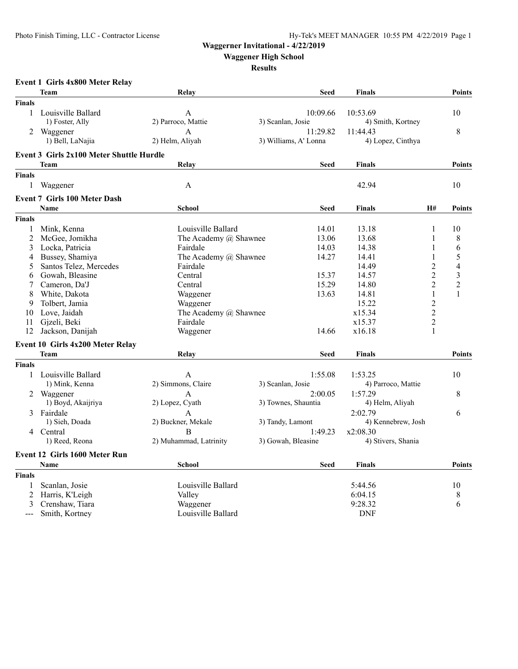# **Waggerner Invitational - 4/22/2019**

**Waggener High School**

#### **Results**

| Event 1 Girls 4x800 Meter Relay |  |  |  |  |
|---------------------------------|--|--|--|--|
|---------------------------------|--|--|--|--|

|                | <b>Team</b>                              | Relay                   | <b>Seed</b>                    | <b>Finals</b>      |                | <b>Points</b> |
|----------------|------------------------------------------|-------------------------|--------------------------------|--------------------|----------------|---------------|
| <b>Finals</b>  |                                          |                         |                                |                    |                |               |
| 1              | Louisville Ballard                       | $\mathbf{A}$            | 10:09.66                       | 10:53.69           |                | 10            |
|                | 1) Foster, Ally                          | 2) Parroco, Mattie      | 3) Scanlan, Josie              | 4) Smith, Kortney  |                |               |
| 2              | Waggener                                 | $\mathbf{A}$            | 11:29.82                       | 11:44.43           |                | $\,$ 8 $\,$   |
|                | 1) Bell, LaNajia                         | 2) Helm, Aliyah         | 3) Williams, A' Lonna          | 4) Lopez, Cinthya  |                |               |
|                | Event 3 Girls 2x100 Meter Shuttle Hurdle |                         |                                |                    |                |               |
|                | <b>Team</b>                              | Relay                   | <b>Seed</b>                    | <b>Finals</b>      |                | <b>Points</b> |
| <b>Finals</b>  |                                          |                         |                                |                    |                |               |
| $\mathbf{1}$   | Waggener                                 | A                       |                                | 42.94              |                | 10            |
|                | <b>Event 7 Girls 100 Meter Dash</b>      |                         |                                |                    |                |               |
|                | <b>Name</b>                              | <b>School</b>           | <b>Seed</b>                    | <b>Finals</b>      | H#             | <b>Points</b> |
| <b>Finals</b>  |                                          |                         |                                |                    |                |               |
| 1              | Mink, Kenna                              | Louisville Ballard      | 14.01                          | 13.18              | 1              | 10            |
| $\overline{2}$ | McGee, Jomikha                           | The Academy @ Shawnee   | 13.06                          | 13.68              | 1              | 8             |
| 3              | Locka, Patricia                          | Fairdale                | 14.03                          | 14.38              | 1              | 6             |
| 4              | Bussey, Shamiya                          | The Academy @ Shawnee   | 14.27                          | 14.41              | 1              | 5             |
| 5              | Santos Telez, Mercedes                   | Fairdale                |                                | 14.49              | $\overline{2}$ | 4             |
| 6              | Gowah, Bleasine                          | Central                 | 15.37                          | 14.57              | $\overline{2}$ | 3             |
|                | Cameron, Da'J                            | Central                 | 15.29                          | 14.80              | $\overline{2}$ | $\sqrt{2}$    |
| 8              | White, Dakota                            | Waggener                | 13.63                          | 14.81              | $\mathbf{1}$   | $\mathbf{1}$  |
| 9              | Tolbert, Jamia                           | Waggener                |                                | 15.22              | $\overline{c}$ |               |
| 10             | Love, Jaidah                             | The Academy @ Shawnee   |                                | x15.34             | $\overline{2}$ |               |
| 11             | Gjzeli, Beki                             | Fairdale                |                                | x15.37             | $\overline{2}$ |               |
| 12             | Jackson, Danijah                         | Waggener                | 14.66                          | x16.18             | 1              |               |
|                | Event 10 Girls 4x200 Meter Relay         |                         |                                |                    |                |               |
|                | Team                                     | Relay                   | <b>Seed</b>                    | <b>Finals</b>      |                | <b>Points</b> |
| <b>Finals</b>  |                                          |                         |                                |                    |                |               |
| 1              | Louisville Ballard                       |                         | 1:55.08                        |                    |                | 10            |
|                | 1) Mink, Kenna                           | A<br>2) Simmons, Claire |                                | 1:53.25            |                |               |
|                |                                          |                         | 3) Scanlan, Josie              | 4) Parroco, Mattie |                |               |
|                | Waggener                                 | A                       | 2:00.05<br>3) Townes, Shauntia | 1:57.29            |                | 8             |
|                | 1) Boyd, Akaijriya                       | 2) Lopez, Cyath         |                                | 4) Helm, Aliyah    |                |               |
| 3              | Fairdale                                 | A                       |                                | 2:02.79            |                | 6             |
|                | 1) Sieh, Doada                           | 2) Buckner, Mekale      | 3) Tandy, Lamont               | 4) Kennebrew, Josh |                |               |
|                | 4 Central                                | B                       | 1:49.23                        | x2:08.30           |                |               |
|                | 1) Reed, Reona                           | 2) Muhammad, Latrinity  | 3) Gowah, Bleasine             | 4) Stivers, Shania |                |               |
|                | <b>Event 12 Girls 1600 Meter Run</b>     |                         |                                |                    |                |               |
|                | Name                                     | <b>School</b>           | <b>Seed</b>                    | <b>Finals</b>      |                | <b>Points</b> |
| <b>Finals</b>  |                                          |                         |                                |                    |                |               |
| 1              | Scanlan, Josie                           | Louisville Ballard      |                                | 5:44.56            |                | 10            |
| 2              | Harris, K'Leigh                          | Valley                  |                                | 6:04.15            |                | 8             |
| 3              | Crenshaw, Tiara                          | Waggener                |                                | 9:28.32            |                | 6             |
| $---$          | Smith, Kortney                           | Louisville Ballard      |                                | <b>DNF</b>         |                |               |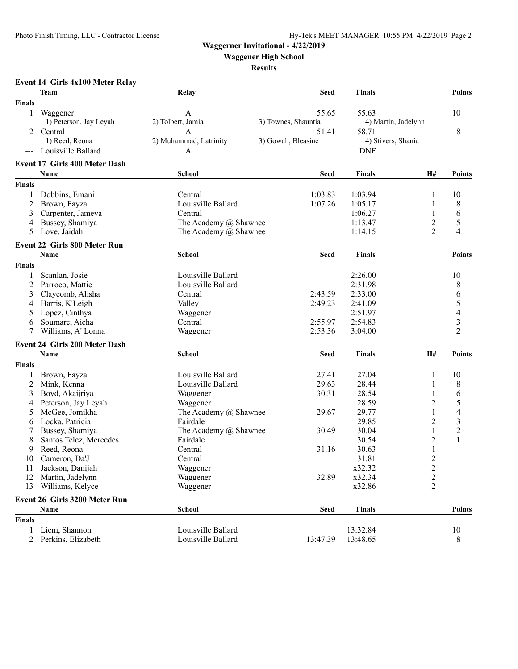### **Waggerner Invitational - 4/22/2019**

**Waggener High School**

**Results**

# **Event 14 Girls 4x100 Meter Relay**

| <b>Finals</b><br>55.65<br>55.63<br>10<br>1<br>Waggener<br>A<br>1) Peterson, Jay Leyah<br>2) Tolbert, Jamia<br>3) Townes, Shauntia<br>4) Martin, Jadelynn<br>2 Central<br>58.71<br>8<br>51.41<br>А<br>4) Stivers, Shania<br>1) Reed, Reona<br>2) Muhammad, Latrinity<br>3) Gowah, Bleasine<br>--- Louisville Ballard<br><b>DNF</b><br>A<br><b>Event 17 Girls 400 Meter Dash</b><br>H#<br>Name<br><b>School</b><br><b>Seed</b><br>Finals<br><b>Points</b><br><b>Finals</b><br>1:03.83<br>Dobbins, Emani<br>Central<br>1:03.94<br>1<br>10<br>1<br>2<br>Louisville Ballard<br>1:07.26<br>1:05.17<br>1<br>8<br>Brown, Fayza<br>Carpenter, Jameya<br>1<br>6<br>3<br>Central<br>1:06.27<br>$\overline{c}$<br>5<br>Bussey, Shamiya<br>The Academy @ Shawnee<br>1:13.47<br>4<br>$\overline{2}$<br>$\overline{4}$<br>Love, Jaidah<br>The Academy @ Shawnee<br>5<br>1:14.15<br><b>Event 22 Girls 800 Meter Run</b><br>Name<br>School<br><b>Finals</b><br><b>Points</b><br><b>Seed</b><br><b>Finals</b><br>2:26.00<br>Scanlan, Josie<br>Louisville Ballard<br>10<br>1<br>Louisville Ballard<br>2:31.98<br>2<br>Parroco, Mattie<br>8<br>6<br>3<br>Claycomb, Alisha<br>2:43.59<br>2:33.00<br>Central<br>5<br>Harris, K'Leigh<br>Valley<br>2:49.23<br>2:41.09<br>4<br>$\overline{\mathcal{A}}$<br>Lopez, Cinthya<br>Waggener<br>2:51.97<br>5<br>3<br>2:55.97<br>Soumare, Aicha<br>Central<br>2:54.83<br>6<br>$\overline{2}$<br>Williams, A' Lonna<br>2:53.36<br>7<br>3:04.00<br>Waggener<br>Event 24 Girls 200 Meter Dash<br><b>School</b><br>Name<br><b>Seed</b><br><b>Finals</b><br>H#<br>Points<br><b>Finals</b><br>Louisville Ballard<br>27.41<br>1<br>Brown, Fayza<br>27.04<br>1<br>10<br>2<br>29.63<br>8<br>Mink, Kenna<br>Louisville Ballard<br>28.44<br>1<br>$\mathbf{1}$<br>6<br>Boyd, Akaijriya<br>30.31<br>3<br>Waggener<br>28.54<br>5<br>$\overline{2}$<br>28.59<br>Peterson, Jay Leyah<br>Waggener<br>4<br>$\overline{\mathcal{L}}$<br>$\mathbf{1}$<br>29.77<br>5<br>McGee, Jomikha<br>The Academy @ Shawnee<br>29.67<br>$\overline{c}$<br>3<br>29.85<br>Locka, Patricia<br>Fairdale<br>6<br>$\overline{c}$<br>$\mathbf{1}$<br>7<br>Bussey, Shamiya<br>The Academy @ Shawnee<br>30.49<br>30.04<br>$\overline{2}$<br>$\mathbf{1}$<br>Santos Telez, Mercedes<br>8<br>Fairdale<br>30.54<br>$\,1$<br>Central<br>9<br>Reed, Reona<br>31.16<br>30.63<br>$\overline{2}$<br>Cameron, Da'J<br>31.81<br>10<br>Central<br>$\overline{\mathbf{c}}$<br>11 Jackson, Danijah<br>x32.32<br>Waggener<br>32.89<br>$\overline{c}$<br>12 Martin, Jadelynn<br>x32.34<br>Waggener<br>$\overline{2}$<br>Williams, Kelyce<br>Waggener<br>x32.86<br>13<br>Event 26 Girls 3200 Meter Run<br>Name<br><b>School</b><br><b>Points</b><br><b>Seed</b><br><b>Finals</b><br><b>Finals</b><br>Louisville Ballard<br>Liem, Shannon<br>13:32.84<br>10<br>1<br>2 Perkins, Elizabeth<br>Louisville Ballard<br>13:47.39<br>13:48.65<br>8 | <b>Team</b> | Relay | <b>Seed</b> | <b>Finals</b> | <b>Points</b> |
|--------------------------------------------------------------------------------------------------------------------------------------------------------------------------------------------------------------------------------------------------------------------------------------------------------------------------------------------------------------------------------------------------------------------------------------------------------------------------------------------------------------------------------------------------------------------------------------------------------------------------------------------------------------------------------------------------------------------------------------------------------------------------------------------------------------------------------------------------------------------------------------------------------------------------------------------------------------------------------------------------------------------------------------------------------------------------------------------------------------------------------------------------------------------------------------------------------------------------------------------------------------------------------------------------------------------------------------------------------------------------------------------------------------------------------------------------------------------------------------------------------------------------------------------------------------------------------------------------------------------------------------------------------------------------------------------------------------------------------------------------------------------------------------------------------------------------------------------------------------------------------------------------------------------------------------------------------------------------------------------------------------------------------------------------------------------------------------------------------------------------------------------------------------------------------------------------------------------------------------------------------------------------------------------------------------------------------------------------------------------------------------------------------------------------------------------------------------------------------------------------------------------------------------------------------------------------------------------------------------------------------------------------------------------------------------------------------------------------------------------------------------------------------------------------------------------------------------------------------------------------------------------------|-------------|-------|-------------|---------------|---------------|
|                                                                                                                                                                                                                                                                                                                                                                                                                                                                                                                                                                                                                                                                                                                                                                                                                                                                                                                                                                                                                                                                                                                                                                                                                                                                                                                                                                                                                                                                                                                                                                                                                                                                                                                                                                                                                                                                                                                                                                                                                                                                                                                                                                                                                                                                                                                                                                                                                                                                                                                                                                                                                                                                                                                                                                                                                                                                                                  |             |       |             |               |               |
|                                                                                                                                                                                                                                                                                                                                                                                                                                                                                                                                                                                                                                                                                                                                                                                                                                                                                                                                                                                                                                                                                                                                                                                                                                                                                                                                                                                                                                                                                                                                                                                                                                                                                                                                                                                                                                                                                                                                                                                                                                                                                                                                                                                                                                                                                                                                                                                                                                                                                                                                                                                                                                                                                                                                                                                                                                                                                                  |             |       |             |               |               |
|                                                                                                                                                                                                                                                                                                                                                                                                                                                                                                                                                                                                                                                                                                                                                                                                                                                                                                                                                                                                                                                                                                                                                                                                                                                                                                                                                                                                                                                                                                                                                                                                                                                                                                                                                                                                                                                                                                                                                                                                                                                                                                                                                                                                                                                                                                                                                                                                                                                                                                                                                                                                                                                                                                                                                                                                                                                                                                  |             |       |             |               |               |
|                                                                                                                                                                                                                                                                                                                                                                                                                                                                                                                                                                                                                                                                                                                                                                                                                                                                                                                                                                                                                                                                                                                                                                                                                                                                                                                                                                                                                                                                                                                                                                                                                                                                                                                                                                                                                                                                                                                                                                                                                                                                                                                                                                                                                                                                                                                                                                                                                                                                                                                                                                                                                                                                                                                                                                                                                                                                                                  |             |       |             |               |               |
|                                                                                                                                                                                                                                                                                                                                                                                                                                                                                                                                                                                                                                                                                                                                                                                                                                                                                                                                                                                                                                                                                                                                                                                                                                                                                                                                                                                                                                                                                                                                                                                                                                                                                                                                                                                                                                                                                                                                                                                                                                                                                                                                                                                                                                                                                                                                                                                                                                                                                                                                                                                                                                                                                                                                                                                                                                                                                                  |             |       |             |               |               |
|                                                                                                                                                                                                                                                                                                                                                                                                                                                                                                                                                                                                                                                                                                                                                                                                                                                                                                                                                                                                                                                                                                                                                                                                                                                                                                                                                                                                                                                                                                                                                                                                                                                                                                                                                                                                                                                                                                                                                                                                                                                                                                                                                                                                                                                                                                                                                                                                                                                                                                                                                                                                                                                                                                                                                                                                                                                                                                  |             |       |             |               |               |
|                                                                                                                                                                                                                                                                                                                                                                                                                                                                                                                                                                                                                                                                                                                                                                                                                                                                                                                                                                                                                                                                                                                                                                                                                                                                                                                                                                                                                                                                                                                                                                                                                                                                                                                                                                                                                                                                                                                                                                                                                                                                                                                                                                                                                                                                                                                                                                                                                                                                                                                                                                                                                                                                                                                                                                                                                                                                                                  |             |       |             |               |               |
|                                                                                                                                                                                                                                                                                                                                                                                                                                                                                                                                                                                                                                                                                                                                                                                                                                                                                                                                                                                                                                                                                                                                                                                                                                                                                                                                                                                                                                                                                                                                                                                                                                                                                                                                                                                                                                                                                                                                                                                                                                                                                                                                                                                                                                                                                                                                                                                                                                                                                                                                                                                                                                                                                                                                                                                                                                                                                                  |             |       |             |               |               |
|                                                                                                                                                                                                                                                                                                                                                                                                                                                                                                                                                                                                                                                                                                                                                                                                                                                                                                                                                                                                                                                                                                                                                                                                                                                                                                                                                                                                                                                                                                                                                                                                                                                                                                                                                                                                                                                                                                                                                                                                                                                                                                                                                                                                                                                                                                                                                                                                                                                                                                                                                                                                                                                                                                                                                                                                                                                                                                  |             |       |             |               |               |
|                                                                                                                                                                                                                                                                                                                                                                                                                                                                                                                                                                                                                                                                                                                                                                                                                                                                                                                                                                                                                                                                                                                                                                                                                                                                                                                                                                                                                                                                                                                                                                                                                                                                                                                                                                                                                                                                                                                                                                                                                                                                                                                                                                                                                                                                                                                                                                                                                                                                                                                                                                                                                                                                                                                                                                                                                                                                                                  |             |       |             |               |               |
|                                                                                                                                                                                                                                                                                                                                                                                                                                                                                                                                                                                                                                                                                                                                                                                                                                                                                                                                                                                                                                                                                                                                                                                                                                                                                                                                                                                                                                                                                                                                                                                                                                                                                                                                                                                                                                                                                                                                                                                                                                                                                                                                                                                                                                                                                                                                                                                                                                                                                                                                                                                                                                                                                                                                                                                                                                                                                                  |             |       |             |               |               |
|                                                                                                                                                                                                                                                                                                                                                                                                                                                                                                                                                                                                                                                                                                                                                                                                                                                                                                                                                                                                                                                                                                                                                                                                                                                                                                                                                                                                                                                                                                                                                                                                                                                                                                                                                                                                                                                                                                                                                                                                                                                                                                                                                                                                                                                                                                                                                                                                                                                                                                                                                                                                                                                                                                                                                                                                                                                                                                  |             |       |             |               |               |
|                                                                                                                                                                                                                                                                                                                                                                                                                                                                                                                                                                                                                                                                                                                                                                                                                                                                                                                                                                                                                                                                                                                                                                                                                                                                                                                                                                                                                                                                                                                                                                                                                                                                                                                                                                                                                                                                                                                                                                                                                                                                                                                                                                                                                                                                                                                                                                                                                                                                                                                                                                                                                                                                                                                                                                                                                                                                                                  |             |       |             |               |               |
|                                                                                                                                                                                                                                                                                                                                                                                                                                                                                                                                                                                                                                                                                                                                                                                                                                                                                                                                                                                                                                                                                                                                                                                                                                                                                                                                                                                                                                                                                                                                                                                                                                                                                                                                                                                                                                                                                                                                                                                                                                                                                                                                                                                                                                                                                                                                                                                                                                                                                                                                                                                                                                                                                                                                                                                                                                                                                                  |             |       |             |               |               |
|                                                                                                                                                                                                                                                                                                                                                                                                                                                                                                                                                                                                                                                                                                                                                                                                                                                                                                                                                                                                                                                                                                                                                                                                                                                                                                                                                                                                                                                                                                                                                                                                                                                                                                                                                                                                                                                                                                                                                                                                                                                                                                                                                                                                                                                                                                                                                                                                                                                                                                                                                                                                                                                                                                                                                                                                                                                                                                  |             |       |             |               |               |
|                                                                                                                                                                                                                                                                                                                                                                                                                                                                                                                                                                                                                                                                                                                                                                                                                                                                                                                                                                                                                                                                                                                                                                                                                                                                                                                                                                                                                                                                                                                                                                                                                                                                                                                                                                                                                                                                                                                                                                                                                                                                                                                                                                                                                                                                                                                                                                                                                                                                                                                                                                                                                                                                                                                                                                                                                                                                                                  |             |       |             |               |               |
|                                                                                                                                                                                                                                                                                                                                                                                                                                                                                                                                                                                                                                                                                                                                                                                                                                                                                                                                                                                                                                                                                                                                                                                                                                                                                                                                                                                                                                                                                                                                                                                                                                                                                                                                                                                                                                                                                                                                                                                                                                                                                                                                                                                                                                                                                                                                                                                                                                                                                                                                                                                                                                                                                                                                                                                                                                                                                                  |             |       |             |               |               |
|                                                                                                                                                                                                                                                                                                                                                                                                                                                                                                                                                                                                                                                                                                                                                                                                                                                                                                                                                                                                                                                                                                                                                                                                                                                                                                                                                                                                                                                                                                                                                                                                                                                                                                                                                                                                                                                                                                                                                                                                                                                                                                                                                                                                                                                                                                                                                                                                                                                                                                                                                                                                                                                                                                                                                                                                                                                                                                  |             |       |             |               |               |
|                                                                                                                                                                                                                                                                                                                                                                                                                                                                                                                                                                                                                                                                                                                                                                                                                                                                                                                                                                                                                                                                                                                                                                                                                                                                                                                                                                                                                                                                                                                                                                                                                                                                                                                                                                                                                                                                                                                                                                                                                                                                                                                                                                                                                                                                                                                                                                                                                                                                                                                                                                                                                                                                                                                                                                                                                                                                                                  |             |       |             |               |               |
|                                                                                                                                                                                                                                                                                                                                                                                                                                                                                                                                                                                                                                                                                                                                                                                                                                                                                                                                                                                                                                                                                                                                                                                                                                                                                                                                                                                                                                                                                                                                                                                                                                                                                                                                                                                                                                                                                                                                                                                                                                                                                                                                                                                                                                                                                                                                                                                                                                                                                                                                                                                                                                                                                                                                                                                                                                                                                                  |             |       |             |               |               |
|                                                                                                                                                                                                                                                                                                                                                                                                                                                                                                                                                                                                                                                                                                                                                                                                                                                                                                                                                                                                                                                                                                                                                                                                                                                                                                                                                                                                                                                                                                                                                                                                                                                                                                                                                                                                                                                                                                                                                                                                                                                                                                                                                                                                                                                                                                                                                                                                                                                                                                                                                                                                                                                                                                                                                                                                                                                                                                  |             |       |             |               |               |
|                                                                                                                                                                                                                                                                                                                                                                                                                                                                                                                                                                                                                                                                                                                                                                                                                                                                                                                                                                                                                                                                                                                                                                                                                                                                                                                                                                                                                                                                                                                                                                                                                                                                                                                                                                                                                                                                                                                                                                                                                                                                                                                                                                                                                                                                                                                                                                                                                                                                                                                                                                                                                                                                                                                                                                                                                                                                                                  |             |       |             |               |               |
|                                                                                                                                                                                                                                                                                                                                                                                                                                                                                                                                                                                                                                                                                                                                                                                                                                                                                                                                                                                                                                                                                                                                                                                                                                                                                                                                                                                                                                                                                                                                                                                                                                                                                                                                                                                                                                                                                                                                                                                                                                                                                                                                                                                                                                                                                                                                                                                                                                                                                                                                                                                                                                                                                                                                                                                                                                                                                                  |             |       |             |               |               |
|                                                                                                                                                                                                                                                                                                                                                                                                                                                                                                                                                                                                                                                                                                                                                                                                                                                                                                                                                                                                                                                                                                                                                                                                                                                                                                                                                                                                                                                                                                                                                                                                                                                                                                                                                                                                                                                                                                                                                                                                                                                                                                                                                                                                                                                                                                                                                                                                                                                                                                                                                                                                                                                                                                                                                                                                                                                                                                  |             |       |             |               |               |
|                                                                                                                                                                                                                                                                                                                                                                                                                                                                                                                                                                                                                                                                                                                                                                                                                                                                                                                                                                                                                                                                                                                                                                                                                                                                                                                                                                                                                                                                                                                                                                                                                                                                                                                                                                                                                                                                                                                                                                                                                                                                                                                                                                                                                                                                                                                                                                                                                                                                                                                                                                                                                                                                                                                                                                                                                                                                                                  |             |       |             |               |               |
|                                                                                                                                                                                                                                                                                                                                                                                                                                                                                                                                                                                                                                                                                                                                                                                                                                                                                                                                                                                                                                                                                                                                                                                                                                                                                                                                                                                                                                                                                                                                                                                                                                                                                                                                                                                                                                                                                                                                                                                                                                                                                                                                                                                                                                                                                                                                                                                                                                                                                                                                                                                                                                                                                                                                                                                                                                                                                                  |             |       |             |               |               |
|                                                                                                                                                                                                                                                                                                                                                                                                                                                                                                                                                                                                                                                                                                                                                                                                                                                                                                                                                                                                                                                                                                                                                                                                                                                                                                                                                                                                                                                                                                                                                                                                                                                                                                                                                                                                                                                                                                                                                                                                                                                                                                                                                                                                                                                                                                                                                                                                                                                                                                                                                                                                                                                                                                                                                                                                                                                                                                  |             |       |             |               |               |
|                                                                                                                                                                                                                                                                                                                                                                                                                                                                                                                                                                                                                                                                                                                                                                                                                                                                                                                                                                                                                                                                                                                                                                                                                                                                                                                                                                                                                                                                                                                                                                                                                                                                                                                                                                                                                                                                                                                                                                                                                                                                                                                                                                                                                                                                                                                                                                                                                                                                                                                                                                                                                                                                                                                                                                                                                                                                                                  |             |       |             |               |               |
|                                                                                                                                                                                                                                                                                                                                                                                                                                                                                                                                                                                                                                                                                                                                                                                                                                                                                                                                                                                                                                                                                                                                                                                                                                                                                                                                                                                                                                                                                                                                                                                                                                                                                                                                                                                                                                                                                                                                                                                                                                                                                                                                                                                                                                                                                                                                                                                                                                                                                                                                                                                                                                                                                                                                                                                                                                                                                                  |             |       |             |               |               |
|                                                                                                                                                                                                                                                                                                                                                                                                                                                                                                                                                                                                                                                                                                                                                                                                                                                                                                                                                                                                                                                                                                                                                                                                                                                                                                                                                                                                                                                                                                                                                                                                                                                                                                                                                                                                                                                                                                                                                                                                                                                                                                                                                                                                                                                                                                                                                                                                                                                                                                                                                                                                                                                                                                                                                                                                                                                                                                  |             |       |             |               |               |
|                                                                                                                                                                                                                                                                                                                                                                                                                                                                                                                                                                                                                                                                                                                                                                                                                                                                                                                                                                                                                                                                                                                                                                                                                                                                                                                                                                                                                                                                                                                                                                                                                                                                                                                                                                                                                                                                                                                                                                                                                                                                                                                                                                                                                                                                                                                                                                                                                                                                                                                                                                                                                                                                                                                                                                                                                                                                                                  |             |       |             |               |               |
|                                                                                                                                                                                                                                                                                                                                                                                                                                                                                                                                                                                                                                                                                                                                                                                                                                                                                                                                                                                                                                                                                                                                                                                                                                                                                                                                                                                                                                                                                                                                                                                                                                                                                                                                                                                                                                                                                                                                                                                                                                                                                                                                                                                                                                                                                                                                                                                                                                                                                                                                                                                                                                                                                                                                                                                                                                                                                                  |             |       |             |               |               |
|                                                                                                                                                                                                                                                                                                                                                                                                                                                                                                                                                                                                                                                                                                                                                                                                                                                                                                                                                                                                                                                                                                                                                                                                                                                                                                                                                                                                                                                                                                                                                                                                                                                                                                                                                                                                                                                                                                                                                                                                                                                                                                                                                                                                                                                                                                                                                                                                                                                                                                                                                                                                                                                                                                                                                                                                                                                                                                  |             |       |             |               |               |
|                                                                                                                                                                                                                                                                                                                                                                                                                                                                                                                                                                                                                                                                                                                                                                                                                                                                                                                                                                                                                                                                                                                                                                                                                                                                                                                                                                                                                                                                                                                                                                                                                                                                                                                                                                                                                                                                                                                                                                                                                                                                                                                                                                                                                                                                                                                                                                                                                                                                                                                                                                                                                                                                                                                                                                                                                                                                                                  |             |       |             |               |               |
|                                                                                                                                                                                                                                                                                                                                                                                                                                                                                                                                                                                                                                                                                                                                                                                                                                                                                                                                                                                                                                                                                                                                                                                                                                                                                                                                                                                                                                                                                                                                                                                                                                                                                                                                                                                                                                                                                                                                                                                                                                                                                                                                                                                                                                                                                                                                                                                                                                                                                                                                                                                                                                                                                                                                                                                                                                                                                                  |             |       |             |               |               |
|                                                                                                                                                                                                                                                                                                                                                                                                                                                                                                                                                                                                                                                                                                                                                                                                                                                                                                                                                                                                                                                                                                                                                                                                                                                                                                                                                                                                                                                                                                                                                                                                                                                                                                                                                                                                                                                                                                                                                                                                                                                                                                                                                                                                                                                                                                                                                                                                                                                                                                                                                                                                                                                                                                                                                                                                                                                                                                  |             |       |             |               |               |
|                                                                                                                                                                                                                                                                                                                                                                                                                                                                                                                                                                                                                                                                                                                                                                                                                                                                                                                                                                                                                                                                                                                                                                                                                                                                                                                                                                                                                                                                                                                                                                                                                                                                                                                                                                                                                                                                                                                                                                                                                                                                                                                                                                                                                                                                                                                                                                                                                                                                                                                                                                                                                                                                                                                                                                                                                                                                                                  |             |       |             |               |               |
|                                                                                                                                                                                                                                                                                                                                                                                                                                                                                                                                                                                                                                                                                                                                                                                                                                                                                                                                                                                                                                                                                                                                                                                                                                                                                                                                                                                                                                                                                                                                                                                                                                                                                                                                                                                                                                                                                                                                                                                                                                                                                                                                                                                                                                                                                                                                                                                                                                                                                                                                                                                                                                                                                                                                                                                                                                                                                                  |             |       |             |               |               |
|                                                                                                                                                                                                                                                                                                                                                                                                                                                                                                                                                                                                                                                                                                                                                                                                                                                                                                                                                                                                                                                                                                                                                                                                                                                                                                                                                                                                                                                                                                                                                                                                                                                                                                                                                                                                                                                                                                                                                                                                                                                                                                                                                                                                                                                                                                                                                                                                                                                                                                                                                                                                                                                                                                                                                                                                                                                                                                  |             |       |             |               |               |
|                                                                                                                                                                                                                                                                                                                                                                                                                                                                                                                                                                                                                                                                                                                                                                                                                                                                                                                                                                                                                                                                                                                                                                                                                                                                                                                                                                                                                                                                                                                                                                                                                                                                                                                                                                                                                                                                                                                                                                                                                                                                                                                                                                                                                                                                                                                                                                                                                                                                                                                                                                                                                                                                                                                                                                                                                                                                                                  |             |       |             |               |               |
|                                                                                                                                                                                                                                                                                                                                                                                                                                                                                                                                                                                                                                                                                                                                                                                                                                                                                                                                                                                                                                                                                                                                                                                                                                                                                                                                                                                                                                                                                                                                                                                                                                                                                                                                                                                                                                                                                                                                                                                                                                                                                                                                                                                                                                                                                                                                                                                                                                                                                                                                                                                                                                                                                                                                                                                                                                                                                                  |             |       |             |               |               |
|                                                                                                                                                                                                                                                                                                                                                                                                                                                                                                                                                                                                                                                                                                                                                                                                                                                                                                                                                                                                                                                                                                                                                                                                                                                                                                                                                                                                                                                                                                                                                                                                                                                                                                                                                                                                                                                                                                                                                                                                                                                                                                                                                                                                                                                                                                                                                                                                                                                                                                                                                                                                                                                                                                                                                                                                                                                                                                  |             |       |             |               |               |
|                                                                                                                                                                                                                                                                                                                                                                                                                                                                                                                                                                                                                                                                                                                                                                                                                                                                                                                                                                                                                                                                                                                                                                                                                                                                                                                                                                                                                                                                                                                                                                                                                                                                                                                                                                                                                                                                                                                                                                                                                                                                                                                                                                                                                                                                                                                                                                                                                                                                                                                                                                                                                                                                                                                                                                                                                                                                                                  |             |       |             |               |               |
|                                                                                                                                                                                                                                                                                                                                                                                                                                                                                                                                                                                                                                                                                                                                                                                                                                                                                                                                                                                                                                                                                                                                                                                                                                                                                                                                                                                                                                                                                                                                                                                                                                                                                                                                                                                                                                                                                                                                                                                                                                                                                                                                                                                                                                                                                                                                                                                                                                                                                                                                                                                                                                                                                                                                                                                                                                                                                                  |             |       |             |               |               |
|                                                                                                                                                                                                                                                                                                                                                                                                                                                                                                                                                                                                                                                                                                                                                                                                                                                                                                                                                                                                                                                                                                                                                                                                                                                                                                                                                                                                                                                                                                                                                                                                                                                                                                                                                                                                                                                                                                                                                                                                                                                                                                                                                                                                                                                                                                                                                                                                                                                                                                                                                                                                                                                                                                                                                                                                                                                                                                  |             |       |             |               |               |
|                                                                                                                                                                                                                                                                                                                                                                                                                                                                                                                                                                                                                                                                                                                                                                                                                                                                                                                                                                                                                                                                                                                                                                                                                                                                                                                                                                                                                                                                                                                                                                                                                                                                                                                                                                                                                                                                                                                                                                                                                                                                                                                                                                                                                                                                                                                                                                                                                                                                                                                                                                                                                                                                                                                                                                                                                                                                                                  |             |       |             |               |               |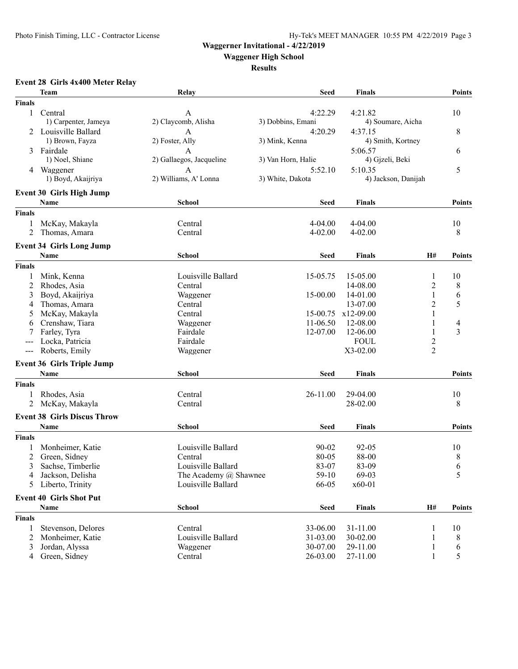### **Waggerner Invitational - 4/22/2019**

**Waggener High School**

**Results**

### **Event 28 Girls 4x400 Meter Relay**

|               | <b>Team</b>                        | Relay                    | <b>Seed</b>        | <b>Finals</b>       |                | Points                   |
|---------------|------------------------------------|--------------------------|--------------------|---------------------|----------------|--------------------------|
| <b>Finals</b> |                                    |                          |                    |                     |                |                          |
| $\mathbf{1}$  | Central                            | A                        | 4:22.29            | 4:21.82             |                | 10                       |
|               | 1) Carpenter, Jameya               | 2) Claycomb, Alisha      | 3) Dobbins, Emani  | 4) Soumare, Aicha   |                |                          |
|               | Louisville Ballard                 | A                        | 4:20.29            | 4:37.15             |                | 8                        |
|               | 1) Brown, Fayza                    | 2) Foster, Ally          | 3) Mink, Kenna     | 4) Smith, Kortney   |                |                          |
| 3             | Fairdale                           | А                        |                    | 5:06.57             |                | 6                        |
|               | 1) Noel, Shiane                    | 2) Gallaegos, Jacqueline | 3) Van Horn, Halie | 4) Gjzeli, Beki     |                |                          |
|               | 4 Waggener                         | A                        | 5:52.10            | 5:10.35             |                | 5                        |
|               | 1) Boyd, Akaijriya                 | 2) Williams, A' Lonna    | 3) White, Dakota   | 4) Jackson, Danijah |                |                          |
|               | <b>Event 30 Girls High Jump</b>    |                          |                    |                     |                |                          |
|               | Name                               | <b>School</b>            | <b>Seed</b>        | <b>Finals</b>       |                | <b>Points</b>            |
| <b>Finals</b> |                                    |                          |                    |                     |                |                          |
| 1             | McKay, Makayla                     | Central                  | $4 - 04.00$        | $4 - 04.00$         |                | 10                       |
| 2             | Thomas, Amara                      | Central                  | 4-02.00            | $4 - 02.00$         |                | 8                        |
|               |                                    |                          |                    |                     |                |                          |
|               | <b>Event 34 Girls Long Jump</b>    |                          |                    |                     |                |                          |
|               | <b>Name</b>                        | School                   | <b>Seed</b>        | <b>Finals</b>       | H#             | <b>Points</b>            |
| <b>Finals</b> |                                    |                          |                    |                     |                |                          |
| 1             | Mink, Kenna                        | Louisville Ballard       | 15-05.75           | 15-05.00            | 1              | 10                       |
| 2             | Rhodes, Asia                       | Central                  |                    | 14-08.00            | $\overline{c}$ | 8                        |
| 3             | Boyd, Akaijriya                    | Waggener                 | 15-00.00           | 14-01.00            | $\mathbf{1}$   | 6                        |
| 4             | Thomas, Amara                      | Central                  |                    | 13-07.00            | $\overline{2}$ | 5                        |
| 5             | McKay, Makayla                     | Central                  | 15-00.75           | x12-09.00           | 1              |                          |
| 6             | Crenshaw, Tiara                    | Waggener                 | 11-06.50           | 12-08.00            | 1              | $\overline{\mathcal{A}}$ |
|               | Farley, Tyra                       | Fairdale                 | 12-07.00           | 12-06.00            | 1              | 3                        |
|               | Locka, Patricia                    | Fairdale                 |                    | <b>FOUL</b>         | $\overline{2}$ |                          |
| $---$         | Roberts, Emily                     | Waggener                 |                    | $X3-02.00$          | $\overline{2}$ |                          |
|               | <b>Event 36 Girls Triple Jump</b>  |                          |                    |                     |                |                          |
|               | <b>Name</b>                        | <b>School</b>            | Seed               | <b>Finals</b>       |                | <b>Points</b>            |
| <b>Finals</b> |                                    |                          |                    |                     |                |                          |
| 1             | Rhodes, Asia                       | Central                  | 26-11.00           | 29-04.00            |                | 10                       |
| 2             | McKay, Makayla                     | Central                  |                    | 28-02.00            |                | 8                        |
|               |                                    |                          |                    |                     |                |                          |
|               | <b>Event 38 Girls Discus Throw</b> |                          |                    |                     |                |                          |
|               | <b>Name</b>                        | <b>School</b>            | <b>Seed</b>        | <b>Finals</b>       |                | <b>Points</b>            |
| <b>Finals</b> |                                    |                          |                    |                     |                |                          |
|               | Monheimer, Katie                   | Louisville Ballard       | $90 - 02$          | $92 - 05$           |                | 10                       |
|               | Green, Sidney                      | Central                  | $80 - 05$          | 88-00               |                | 8                        |
|               | 3 Sachse, Timberlie                | Louisville Ballard       | 83-07              | 83-09               |                | $\sqrt{6}$               |
| 4             | Jackson, Delisha                   | The Academy @ Shawnee    | $59-10$            | 69-03               |                | 5                        |
| 5             | Liberto, Trinity                   | Louisville Ballard       | 66-05              | x60-01              |                |                          |
|               | <b>Event 40 Girls Shot Put</b>     |                          |                    |                     |                |                          |
|               | Name                               | <b>School</b>            | <b>Seed</b>        | <b>Finals</b>       | H#             | Points                   |
| <b>Finals</b> |                                    |                          |                    |                     |                |                          |
| 1             | Stevenson, Delores                 | Central                  | 33-06.00           | 31-11.00            | 1              | 10                       |
| 2             | Monheimer, Katie                   | Louisville Ballard       | 31-03.00           | 30-02.00            | 1              | 8                        |
| 3             | Jordan, Alyssa                     | Waggener                 | 30-07.00           | 29-11.00            | $\mathbf{1}$   | 6                        |
| 4             | Green, Sidney                      | Central                  | 26-03.00           | 27-11.00            | $\mathbf{1}$   | 5                        |
|               |                                    |                          |                    |                     |                |                          |